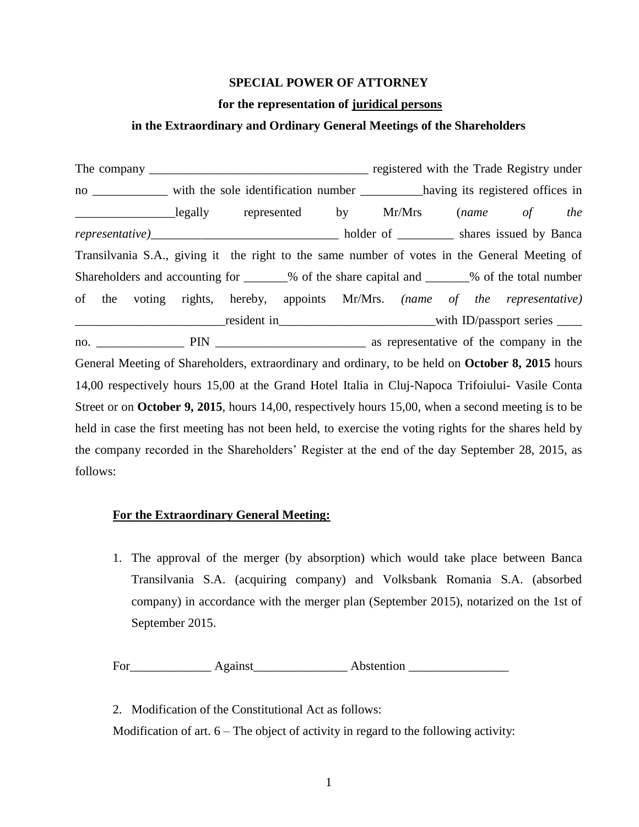## **SPECIAL POWER OF ATTORNEY**

#### **for the representation of juridical persons**

# **in the Extraordinary and Ordinary General Meetings of the Shareholders**

The company \_\_\_\_\_\_\_\_\_\_\_\_\_\_\_\_\_\_\_\_\_\_\_\_\_\_\_\_\_\_\_\_\_\_\_ registered with the Trade Registry under no \_\_\_\_\_\_\_\_\_\_\_\_ with the sole identification number \_\_\_\_\_\_\_\_\_\_\_having its registered offices in \_\_\_\_\_\_\_\_\_\_\_\_\_\_\_\_legally represented by Mr/Mrs (*name of the representative)*\_\_\_\_\_\_\_\_\_\_\_\_\_\_\_\_\_\_\_\_\_\_\_\_\_\_\_\_\_\_ holder of \_\_\_\_\_\_\_\_\_ shares issued by Banca Transilvania S.A., giving it the right to the same number of votes in the General Meeting of Shareholders and accounting for \_\_\_\_\_\_% of the share capital and \_\_\_\_\_\_% of the total number of the voting rights, hereby, appoints Mr/Mrs. *(name of the representative)* \_\_\_\_\_\_\_\_\_\_\_\_\_\_\_\_\_\_\_\_\_\_\_\_resident in\_\_\_\_\_\_\_\_\_\_\_\_\_\_\_\_\_\_\_\_\_\_\_\_\_with ID/passport series \_\_\_\_ no. \_\_\_\_\_\_\_\_\_\_\_\_\_\_ PIN \_\_\_\_\_\_\_\_\_\_\_\_\_\_\_\_\_\_\_\_\_\_\_\_ as representative of the company in the General Meeting of Shareholders, extraordinary and ordinary, to be held on **October 8, 2015** hours 14,00 respectively hours 15,00 at the Grand Hotel Italia in Cluj-Napoca Trifoiului- Vasile Conta Street or on **October 9, 2015**, hours 14,00, respectively hours 15,00, when a second meeting is to be held in case the first meeting has not been held, to exercise the voting rights for the shares held by the company recorded in the Shareholders' Register at the end of the day September 28, 2015, as follows:

## **For the Extraordinary General Meeting:**

1. The approval of the merger (by absorption) which would take place between Banca Transilvania S.A. (acquiring company) and Volksbank Romania S.A. (absorbed company) in accordance with the merger plan (September 2015), notarized on the 1st of September 2015.

For\_\_\_\_\_\_\_\_\_\_\_\_\_ Against\_\_\_\_\_\_\_\_\_\_\_\_\_\_\_ Abstention \_\_\_\_\_\_\_\_\_\_\_\_\_\_\_\_

2. Modification of the Constitutional Act as follows:

Modification of art.  $6 -$ The object of activity in regard to the following activity: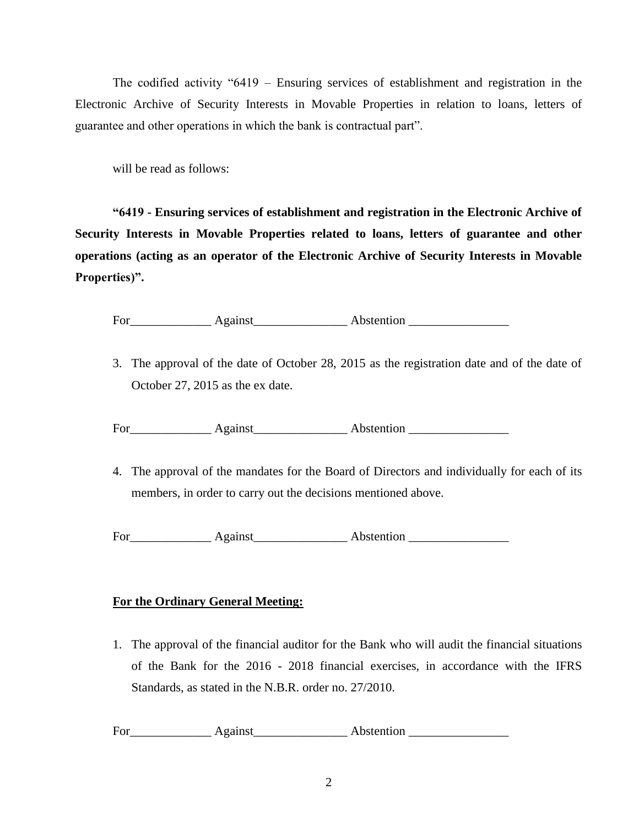The codified activity "6419 – Ensuring services of establishment and registration in the Electronic Archive of Security Interests in Movable Properties in relation to loans, letters of guarantee and other operations in which the bank is contractual part".

will be read as follows:

**"6419 - Ensuring services of establishment and registration in the Electronic Archive of Security Interests in Movable Properties related to loans, letters of guarantee and other operations (acting as an operator of the Electronic Archive of Security Interests in Movable Properties)".**

For\_\_\_\_\_\_\_\_\_\_\_\_\_ Against\_\_\_\_\_\_\_\_\_\_\_\_\_\_\_ Abstention \_\_\_\_\_\_\_\_\_\_\_\_\_\_\_\_

3. The approval of the date of October 28, 2015 as the registration date and of the date of October 27, 2015 as the ex date.

For\_\_\_\_\_\_\_\_\_\_\_\_\_ Against\_\_\_\_\_\_\_\_\_\_\_\_\_\_\_ Abstention \_\_\_\_\_\_\_\_\_\_\_\_\_\_\_\_

4. The approval of the mandates for the Board of Directors and individually for each of its members, in order to carry out the decisions mentioned above.

For Against Abstention

# **For the Ordinary General Meeting:**

1. The approval of the financial auditor for the Bank who will audit the financial situations of the Bank for the 2016 - 2018 financial exercises, in accordance with the IFRS Standards, as stated in the N.B.R. order no. 27/2010.

For\_\_\_\_\_\_\_\_\_\_\_\_\_ Against\_\_\_\_\_\_\_\_\_\_\_\_\_\_\_ Abstention \_\_\_\_\_\_\_\_\_\_\_\_\_\_\_\_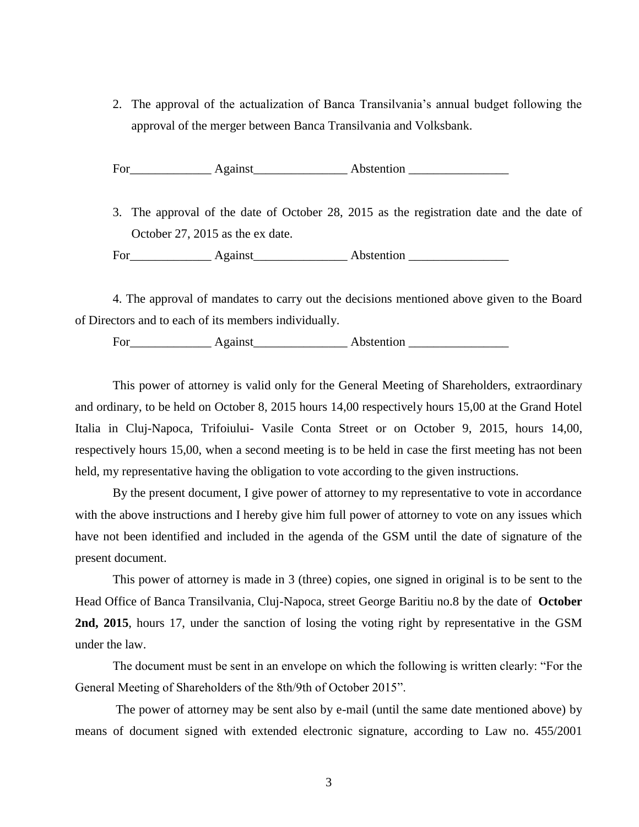2. The approval of the actualization of Banca Transilvania's annual budget following the approval of the merger between Banca Transilvania and Volksbank.

For\_\_\_\_\_\_\_\_\_\_\_\_\_ Against\_\_\_\_\_\_\_\_\_\_\_\_\_\_\_ Abstention \_\_\_\_\_\_\_\_\_\_\_\_\_\_\_\_

3. The approval of the date of October 28, 2015 as the registration date and the date of October 27, 2015 as the ex date.

For\_\_\_\_\_\_\_\_\_\_\_\_\_ Against\_\_\_\_\_\_\_\_\_\_\_\_\_\_\_ Abstention \_\_\_\_\_\_\_\_\_\_\_\_\_\_\_\_

4. The approval of mandates to carry out the decisions mentioned above given to the Board of Directors and to each of its members individually.

For\_\_\_\_\_\_\_\_\_\_\_\_\_ Against\_\_\_\_\_\_\_\_\_\_\_\_\_\_\_ Abstention \_\_\_\_\_\_\_\_\_\_\_\_\_\_\_\_

This power of attorney is valid only for the General Meeting of Shareholders, extraordinary and ordinary, to be held on October 8, 2015 hours 14,00 respectively hours 15,00 at the Grand Hotel Italia in Cluj-Napoca, Trifoiului- Vasile Conta Street or on October 9, 2015, hours 14,00, respectively hours 15,00, when a second meeting is to be held in case the first meeting has not been held, my representative having the obligation to vote according to the given instructions.

By the present document, I give power of attorney to my representative to vote in accordance with the above instructions and I hereby give him full power of attorney to vote on any issues which have not been identified and included in the agenda of the GSM until the date of signature of the present document.

This power of attorney is made in 3 (three) copies, one signed in original is to be sent to the Head Office of Banca Transilvania, Cluj-Napoca, street George Baritiu no.8 by the date of **October 2nd, 2015**, hours 17, under the sanction of losing the voting right by representative in the GSM under the law.

The document must be sent in an envelope on which the following is written clearly: "For the General Meeting of Shareholders of the 8th/9th of October 2015".

The power of attorney may be sent also by e-mail (until the same date mentioned above) by means of document signed with extended electronic signature, according to Law no. 455/2001